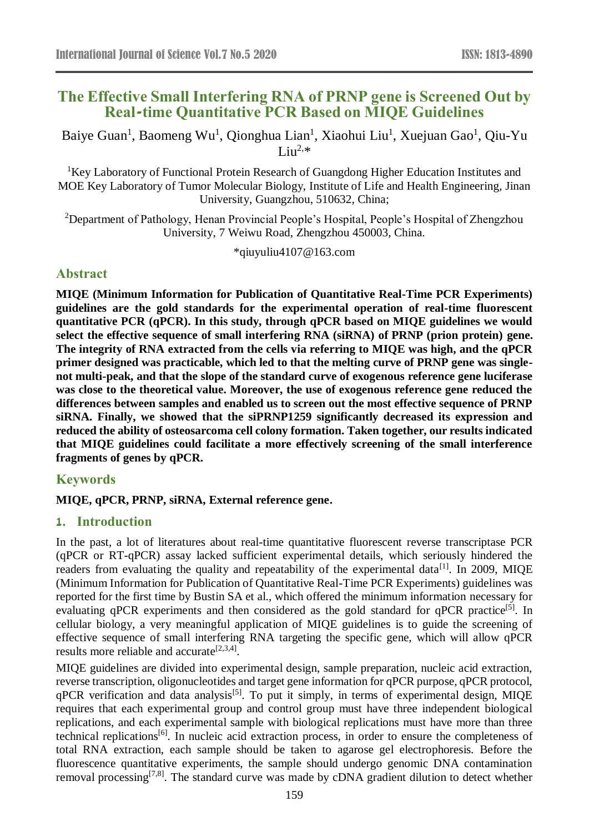# **The Effective Small Interfering RNA of PRNP gene is Screened Out by Real-time Quantitative PCR Based on MIQE Guidelines**

Baiye Guan<sup>1</sup>, Baomeng Wu<sup>1</sup>, Qionghua Lian<sup>1</sup>, Xiaohui Liu<sup>1</sup>, Xuejuan Gao<sup>1</sup>, Qiu-Yu Liu<sup>2, $*$ </sup>

<sup>1</sup>Key Laboratory of Functional Protein Research of Guangdong Higher Education Institutes and MOE Key Laboratory of Tumor Molecular Biology, Institute of Life and Health Engineering, Jinan University, Guangzhou, 510632, China;

<sup>2</sup>Department of Pathology, Henan Provincial People's Hospital, People's Hospital of Zhengzhou University, 7 Weiwu Road, Zhengzhou 450003, China.

\*qiuyuliu4107@163.com

## **Abstract**

**MIQE (Minimum Information for Publication of Quantitative Real-Time PCR Experiments) guidelines are the gold standards for the experimental operation of real-time fluorescent quantitative PCR (qPCR). In this study, through qPCR based on MIQE guidelines we would select the effective sequence of small interfering RNA (siRNA) of PRNP (prion protein) gene. The integrity of RNA extracted from the cells via referring to MIQE was high, and the qPCR primer designed was practicable, which led to that the melting curve of PRNP gene was singlenot multi-peak, and that the slope of the standard curve of exogenous reference gene luciferase was close to the theoretical value. Moreover, the use of exogenous reference gene reduced the differences between samples and enabled us to screen out the most effective sequence of PRNP siRNA. Finally, we showed that the siPRNP1259 significantly decreased its expression and reduced the ability of osteosarcoma cell colony formation. Taken together, our results indicated that MIQE guidelines could facilitate a more effectively screening of the small interference fragments of genes by qPCR.**

## **Keywords**

## **MIQE, qPCR, PRNP, siRNA, External reference gene.**

## **1. Introduction**

In the past, a lot of literatures about real-time quantitative fluorescent reverse transcriptase PCR (qPCR or RT-qPCR) assay lacked sufficient experimental details, which seriously hindered the readers from evaluating the quality and repeatability of the experimental data<sup>[1]</sup>. In 2009, MIQE (Minimum Information for Publication of Quantitative Real-Time PCR Experiments) guidelines was reported for the first time by Bustin SA et al., which offered the minimum information necessary for evaluating qPCR experiments and then considered as the gold standard for qPCR practice<sup>[5]</sup>. In cellular biology, a very meaningful application of MIQE guidelines is to guide the screening of effective sequence of small interfering RNA targeting the specific gene, which will allow qPCR results more reliable and accurate<sup>[2,3,4]</sup>.

MIQE guidelines are divided into experimental design, sample preparation, nucleic acid extraction, reverse transcription, oligonucleotides and target gene information for qPCR purpose, qPCR protocol,  $qPCR$  verification and data analysis<sup>[5]</sup>. To put it simply, in terms of experimental design, MIQE requires that each experimental group and control group must have three independent biological replications, and each experimental sample with biological replications must have more than three technical replications[6]. In nucleic acid extraction process, in order to ensure the completeness of total RNA extraction, each sample should be taken to agarose gel electrophoresis. Before the fluorescence quantitative experiments, the sample should undergo genomic DNA contamination removal processing<sup>[7,8]</sup>. The standard curve was made by cDNA gradient dilution to detect whether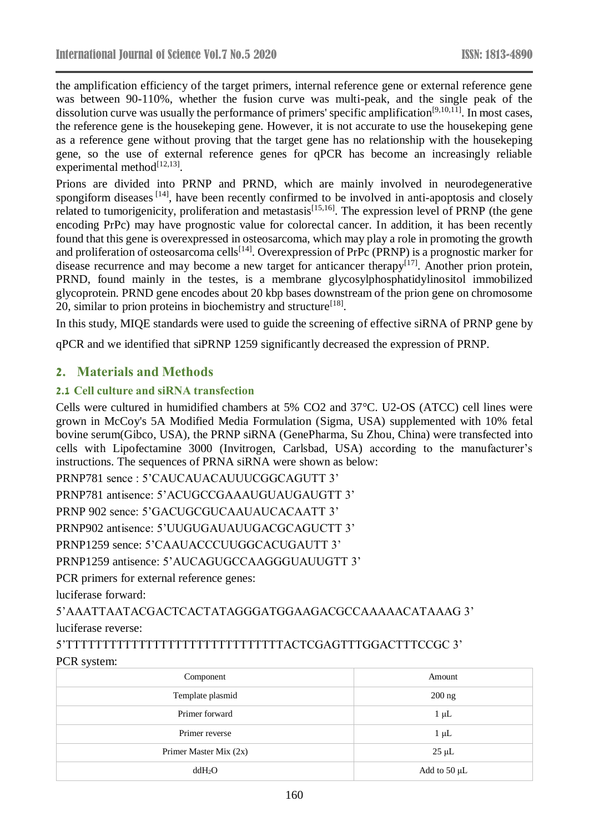the amplification efficiency of the target primers, internal reference gene or external reference gene was between 90-110%, whether the fusion curve was multi-peak, and the single peak of the dissolution curve was usually the performance of primers' specific amplification<sup>[9,10,11]</sup>. In most cases, the reference gene is the housekeping gene. However, it is not accurate to use the housekeping gene as a reference gene without proving that the target gene has no relationship with the housekeping gene, so the use of external reference genes for qPCR has become an increasingly reliable experimental method $^{[12,13]}$ .

Prions are divided into PRNP and PRND, which are mainly involved in neurodegenerative spongiform diseases [14], have been recently confirmed to be involved in anti-apoptosis and closely related to tumorigenicity, proliferation and metastasis<sup>[15,16]</sup>. The expression level of PRNP (the gene encoding PrPc) may have prognostic value for colorectal cancer. In addition, it has been recently found that this gene is overexpressed in osteosarcoma, which may play a role in promoting the growth and proliferation of osteosarcoma cells<sup>[14]</sup>. Overexpression of PrPc (PRNP) is a prognostic marker for disease recurrence and may become a new target for anticancer therapy<sup>[17]</sup>. Another prion protein, PRND, found mainly in the testes, is a membrane glycosylphosphatidylinositol immobilized glycoprotein. PRND gene encodes about 20 kbp bases downstream of the prion gene on chromosome 20, similar to prion proteins in biochemistry and structure<sup>[18]</sup>.

In this study, MIQE standards were used to guide the screening of effective siRNA of PRNP gene by

qPCR and we identified that siPRNP 1259 significantly decreased the expression of PRNP.

## **2. Materials and Methods**

## **2.1 Cell culture and siRNA transfection**

Cells were cultured in humidified chambers at 5% CO2 and 37°C. U2-OS (ATCC) cell lines were grown in McCoy's 5A Modified Media Formulation (Sigma, USA) supplemented with 10% fetal bovine serum(Gibco, USA), the PRNP siRNA (GenePharma, Su Zhou, China) were transfected into cells with Lipofectamine 3000 (Invitrogen, Carlsbad, USA) according to the manufacturer's instructions. The sequences of PRNA siRNA were shown as below:

PRNP781 sence : 5'CAUCAUACAUUUCGGCAGUTT 3'

PRNP781 antisence: 5'ACUGCCGAAAUGUAUGAUGTT 3'

PRNP 902 sence: 5'GACUGCGUCAAUAUCACAATT 3'

PRNP902 antisence: 5'UUGUGAUAUUGACGCAGUCTT 3'

PRNP1259 sence: 5'CAAUACCCUUGGCACUGAUTT 3'

PRNP1259 antisence: 5'AUCAGUGCCAAGGGUAUUGTT 3'

PCR primers for external reference genes:

luciferase forward:

5'AAATTAATACGACTCACTATAGGGATGGAAGACGCCAAAAACATAAAG 3' luciferase reverse:

5'TTTTTTTTTTTTTTTTTTTTTTTTTTTTTTACTCGAGTTTGGACTTTCCGC 3' PCR system:

| Component              | Amount       |  |
|------------------------|--------------|--|
| Template plasmid       | $200$ ng     |  |
| Primer forward         | $1 \mu L$    |  |
| Primer reverse         | $1 \mu L$    |  |
| Primer Master Mix (2x) | $25 \mu L$   |  |
| ddH <sub>2</sub> O     | Add to 50 µL |  |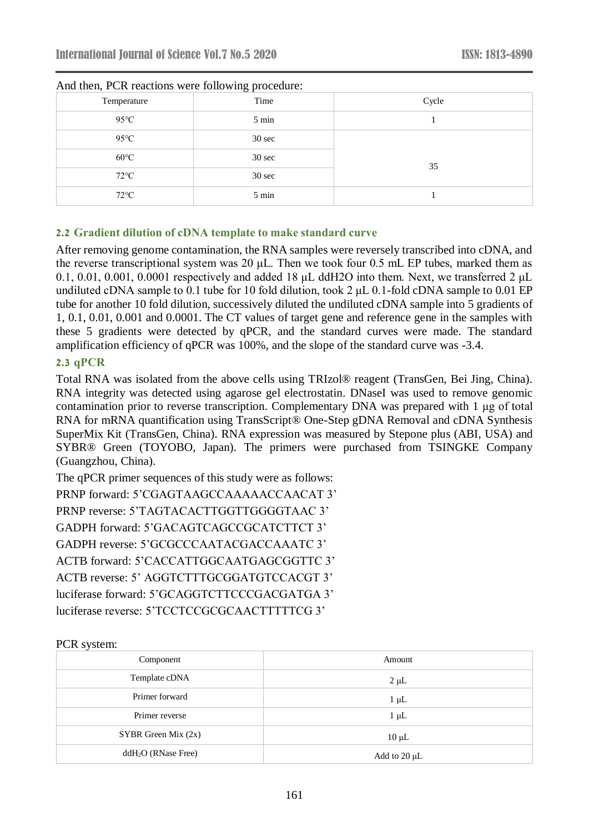| Temperature    | <u>- - </u><br>Time | Cycle |
|----------------|---------------------|-------|
| $95^{\circ}$ C | 5 min               |       |
| $95^{\circ}$ C | $30 \text{ sec}$    |       |
| $60^{\circ}$ C | $30 \text{ sec}$    | 35    |
| $72^{\circ}$ C | $30 \text{ sec}$    |       |
| $72^{\circ}$ C | 5 min               |       |

#### And then, PCR reactions were following procedure:

### **2.2 Gradient dilution of cDNA template to make standard curve**

After removing genome contamination, the RNA samples were reversely transcribed into cDNA, and the reverse transcriptional system was 20 μL. Then we took four 0.5 mL EP tubes, marked them as 0.1, 0.01, 0.001, 0.0001 respectively and added 18 μL ddH2O into them. Next, we transferred 2 μL undiluted cDNA sample to 0.1 tube for 10 fold dilution, took 2 uL 0.1-fold cDNA sample to 0.01 EP tube for another 10 fold dilution, successively diluted the undiluted cDNA sample into 5 gradients of 1, 0.1, 0.01, 0.001 and 0.0001. The CT values of target gene and reference gene in the samples with these 5 gradients were detected by qPCR, and the standard curves were made. The standard amplification efficiency of qPCR was 100%, and the slope of the standard curve was -3.4.

#### **2.3 qPCR**

Total RNA was isolated from the above cells using TRIzol® reagent (TransGen, Bei Jing, China). RNA integrity was detected using agarose gel electrostatin. DNaseI was used to remove genomic contamination prior to reverse transcription. Complementary DNA was prepared with 1 μg of total RNA for mRNA quantification using TransScript® One-Step gDNA Removal and cDNA Synthesis SuperMix Kit (TransGen, China). RNA expression was measured by Stepone plus (ABI, USA) and SYBR® Green (TOYOBO, Japan). The primers were purchased from TSINGKE Company (Guangzhou, China).

The qPCR primer sequences of this study were as follows: PRNP forward: 5'CGAGTAAGCCAAAAACCAACAT 3' PRNP reverse: 5'TAGTACACTTGGTTGGGGTAAC 3' GADPH forward: 5'GACAGTCAGCCGCATCTTCT 3' GADPH reverse: 5'GCGCCCAATACGACCAAATC 3' ACTB forward: 5'CACCATTGGCAATGAGCGGTTC 3' ACTB reverse: 5' AGGTCTTTGCGGATGTCCACGT 3' luciferase forward: 5'GCAGGTCTTCCCGACGATGA 3' luciferase reverse: 5'TCCTCCGCGCAACTTTTTCG 3'

#### PCR system:

| Component             | Amount       |
|-----------------------|--------------|
| Template cDNA         | $2 \mu L$    |
| Primer forward        | $1 \mu L$    |
| Primer reverse        | $1 \mu L$    |
| SYBR Green Mix $(2x)$ | $10 \mu L$   |
| $ddH2O$ (RNase Free)  | Add to 20 µL |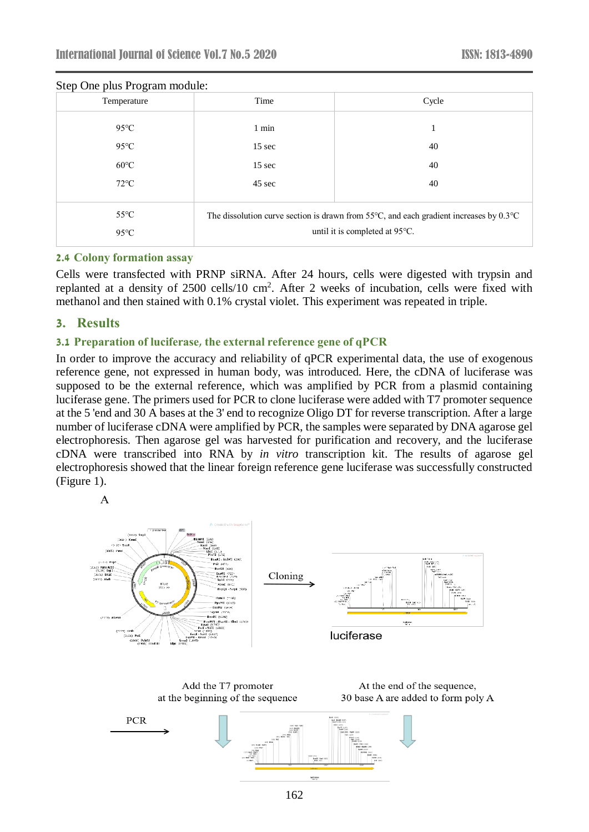| Temperature                      | Time                                                                                                                                         | Cycle |
|----------------------------------|----------------------------------------------------------------------------------------------------------------------------------------------|-------|
| $95^{\circ}$ C                   | 1 min                                                                                                                                        |       |
| $95^{\circ}$ C                   | $15 \text{ sec}$                                                                                                                             | 40    |
| $60^{\circ}$ C                   | $15 \text{ sec}$                                                                                                                             | 40    |
| $72^{\circ}$ C                   | 45 sec                                                                                                                                       | 40    |
| $55^{\circ}$ C<br>$95^{\circ}$ C | The dissolution curve section is drawn from 55 $\degree$ C, and each gradient increases by 0.3 $\degree$ C<br>until it is completed at 95°C. |       |

### Step One plus Program module:

#### **2.4 Colony formation assay**

Cells were transfected with PRNP siRNA. After 24 hours, cells were digested with trypsin and replanted at a density of  $2500$  cells/10 cm<sup>2</sup>. After 2 weeks of incubation, cells were fixed with methanol and then stained with 0.1% crystal violet. This experiment was repeated in triple.

#### **3. Results**

#### **3.1 Preparation of luciferase, the external reference gene of qPCR**

In order to improve the accuracy and reliability of qPCR experimental data, the use of exogenous reference gene, not expressed in human body, was introduced. Here, the cDNA of luciferase was supposed to be the external reference, which was amplified by PCR from a plasmid containing luciferase gene. The primers used for PCR to clone luciferase were added with T7 promoter sequence at the 5 'end and 30 A bases at the 3' end to recognize Oligo DT for reverse transcription. After a large number of luciferase cDNA were amplified by PCR, the samples were separated by DNA agarose gel electrophoresis. Then agarose gel was harvested for purification and recovery, and the luciferase cDNA were transcribed into RNA by *in vitro* transcription kit. The results of agarose gel electrophoresis showed that the linear foreign reference gene luciferase was successfully constructed (Figure 1).



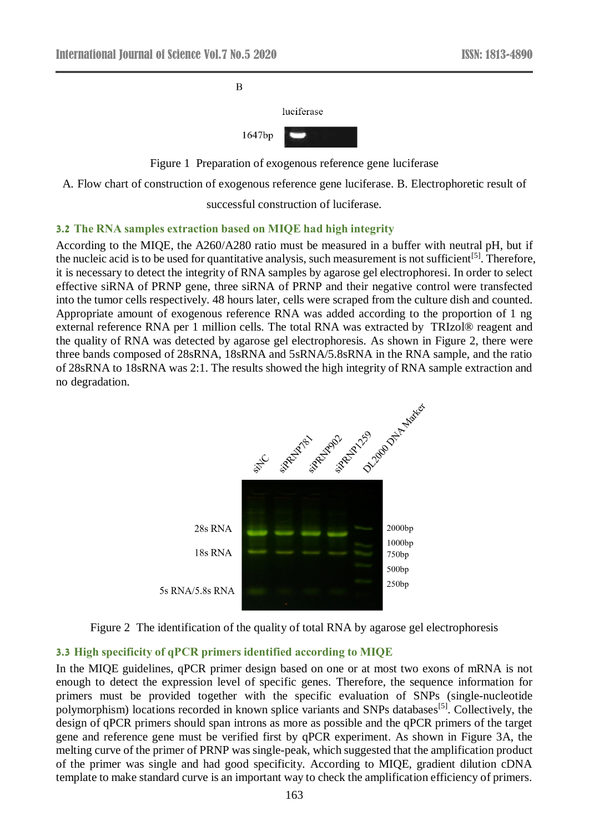

Figure 1 Preparation of exogenous reference gene luciferase

A. Flow chart of construction of exogenous reference gene luciferase. B. Electrophoretic result of

successful construction of luciferase.

#### **3.2 The RNA samples extraction based on MIQE had high integrity**

According to the MIQE, the A260/A280 ratio must be measured in a buffer with neutral pH, but if the nucleic acid is to be used for quantitative analysis, such measurement is not sufficient<sup>[5]</sup>. Therefore, it is necessary to detect the integrity of RNA samples by agarose gel electrophoresi. In order to select effective siRNA of PRNP gene, three siRNA of PRNP and their negative control were transfected into the tumor cells respectively. 48 hours later, cells were scraped from the culture dish and counted. Appropriate amount of exogenous reference RNA was added according to the proportion of 1 ng external reference RNA per 1 million cells. The total RNA was extracted by TRIzol® reagent and the quality of RNA was detected by agarose gel electrophoresis. As shown in Figure 2, there were three bands composed of 28sRNA, 18sRNA and 5sRNA/5.8sRNA in the RNA sample, and the ratio of 28sRNA to 18sRNA was 2:1. The results showed the high integrity of RNA sample extraction and no degradation.



Figure 2 The identification of the quality of total RNA by agarose gel electrophoresis

#### **3.3 High specificity of qPCR primers identified according to MIQE**

In the MIQE guidelines, qPCR primer design based on one or at most two exons of mRNA is not enough to detect the expression level of specific genes. Therefore, the sequence information for primers must be provided together with the specific evaluation of SNPs (single-nucleotide polymorphism) locations recorded in known splice variants and SNPs databases<sup>[5]</sup>. Collectively, the design of qPCR primers should span introns as more as possible and the qPCR primers of the target gene and reference gene must be verified first by qPCR experiment. As shown in Figure 3A, the melting curve of the primer of PRNP was single-peak, which suggested that the amplification product of the primer was single and had good specificity. According to MIQE, gradient dilution cDNA template to make standard curve is an important way to check the amplification efficiency of primers.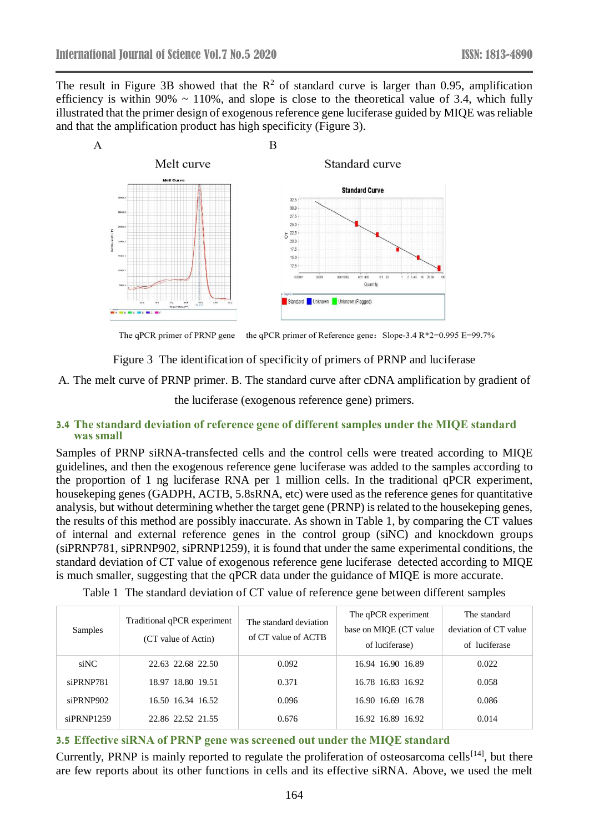The result in Figure 3B showed that the  $\mathbb{R}^2$  of standard curve is larger than 0.95, amplification efficiency is within 90%  $\sim$  110%, and slope is close to the theoretical value of 3.4, which fully illustrated that the primer design of exogenous reference gene luciferase guided by MIQE was reliable and that the amplification product has high specificity (Figure 3).



The qPCR primer of PRNP gene the qPCR primer of Reference gene: Slope-3.4 R\*2=0.995 E=99.7%

Figure 3 The identification of specificity of primers of PRNP and luciferase

A. The melt curve of PRNP primer. B. The standard curve after cDNA amplification by gradient of

the luciferase (exogenous reference gene) primers.

#### **3.4 The standard deviation of reference gene of different samples under the MIQE standard was small**

Samples of PRNP siRNA-transfected cells and the control cells were treated according to MIQE guidelines, and then the exogenous reference gene luciferase was added to the samples according to the proportion of 1 ng luciferase RNA per 1 million cells. In the traditional qPCR experiment, housekeping genes (GADPH, ACTB, 5.8sRNA, etc) were used as the reference genes for quantitative analysis, but without determining whether the target gene (PRNP) is related to the housekeping genes, the results of this method are possibly inaccurate. As shown in Table 1, by comparing the CT values of internal and external reference genes in the control group (siNC) and knockdown groups (siPRNP781, siPRNP902, siPRNP1259), it is found that under the same experimental conditions, the standard deviation of CT value of exogenous reference gene luciferase detected according to MIQE is much smaller, suggesting that the qPCR data under the guidance of MIQE is more accurate.

Table 1 The standard deviation of CT value of reference gene between different samples

| <b>Samples</b> | Traditional qPCR experiment<br>(CT value of Actin) | The standard deviation<br>of CT value of ACTB | The qPCR experiment<br>base on MIQE (CT value)<br>of luciferase) | The standard<br>deviation of CT value<br>of luciferase |
|----------------|----------------------------------------------------|-----------------------------------------------|------------------------------------------------------------------|--------------------------------------------------------|
| siNC           | 22.63 22.68 22.50                                  | 0.092                                         | 16.94 16.90 16.89                                                | 0.022                                                  |
| siPRNP781      | 18.97 18.80 19.51                                  | 0.371                                         | 16.78 16.83 16.92                                                | 0.058                                                  |
| siPRNP902      | 16.50 16.34 16.52                                  | 0.096                                         | 16.90 16.69 16.78                                                | 0.086                                                  |
| siPRNP1259     | 22.86 22.52 21.55                                  | 0.676                                         | 16.92 16.89 16.92                                                | 0.014                                                  |

#### **3.5 Effective siRNA of PRNP gene was screened out under the MIQE standard**

Currently, PRNP is mainly reported to regulate the proliferation of osteosarcoma cells<sup>[14]</sup>, but there are few reports about its other functions in cells and its effective siRNA. Above, we used the melt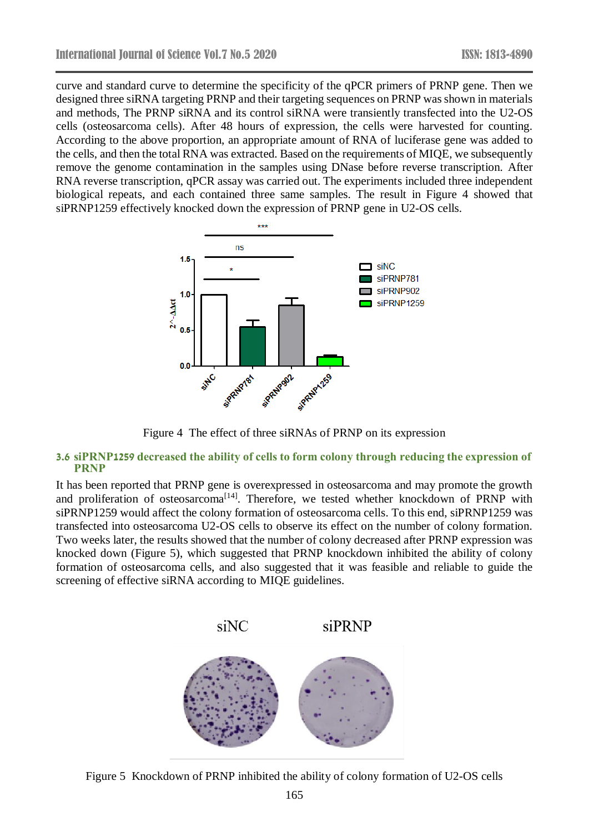curve and standard curve to determine the specificity of the qPCR primers of PRNP gene. Then we designed three siRNA targeting PRNP and their targeting sequences on PRNP was shown in materials and methods, The PRNP siRNA and its control siRNA were transiently transfected into the U2-OS cells (osteosarcoma cells). After 48 hours of expression, the cells were harvested for counting. According to the above proportion, an appropriate amount of RNA of luciferase gene was added to the cells, and then the total RNA was extracted. Based on the requirements of MIQE, we subsequently remove the genome contamination in the samples using DNase before reverse transcription. After RNA reverse transcription, qPCR assay was carried out. The experiments included three independent biological repeats, and each contained three same samples. The result in Figure 4 showed that siPRNP1259 effectively knocked down the expression of PRNP gene in U2-OS cells.



Figure 4 The effect of three siRNAs of PRNP on its expression

#### **3.6 siPRNP1259 decreased the ability of cells to form colony through reducing the expression of PRNP**

It has been reported that PRNP gene is overexpressed in osteosarcoma and may promote the growth and proliferation of osteosarcoma<sup>[14]</sup>. Therefore, we tested whether knockdown of PRNP with siPRNP1259 would affect the colony formation of osteosarcoma cells. To this end, siPRNP1259 was transfected into osteosarcoma U2-OS cells to observe its effect on the number of colony formation. Two weeks later, the results showed that the number of colony decreased after PRNP expression was knocked down (Figure 5), which suggested that PRNP knockdown inhibited the ability of colony formation of osteosarcoma cells, and also suggested that it was feasible and reliable to guide the screening of effective siRNA according to MIQE guidelines.



Figure 5 Knockdown of PRNP inhibited the ability of colony formation of U2-OS cells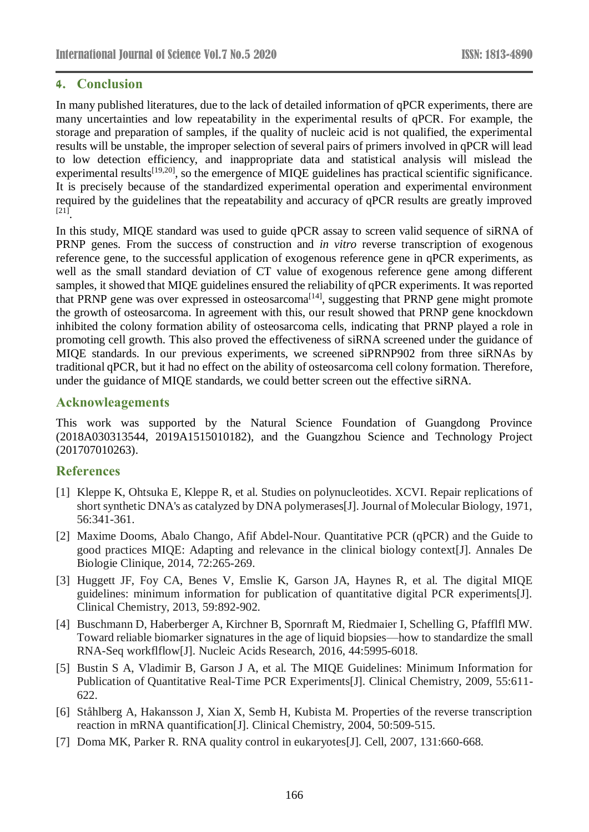## **4. Conclusion**

In many published literatures, due to the lack of detailed information of qPCR experiments, there are many uncertainties and low repeatability in the experimental results of qPCR. For example, the storage and preparation of samples, if the quality of nucleic acid is not qualified, the experimental results will be unstable, the improper selection of several pairs of primers involved in qPCR will lead to low detection efficiency, and inappropriate data and statistical analysis will mislead the experimental results<sup>[19,20]</sup>, so the emergence of MIQE guidelines has practical scientific significance. It is precisely because of the standardized experimental operation and experimental environment required by the guidelines that the repeatability and accuracy of qPCR results are greatly improved [21] .

In this study, MIQE standard was used to guide qPCR assay to screen valid sequence of siRNA of PRNP genes. From the success of construction and *in vitro* reverse transcription of exogenous reference gene, to the successful application of exogenous reference gene in qPCR experiments, as well as the small standard deviation of CT value of exogenous reference gene among different samples, it showed that MIQE guidelines ensured the reliability of qPCR experiments. It was reported that PRNP gene was over expressed in osteosarcoma<sup>[14]</sup>, suggesting that PRNP gene might promote the growth of osteosarcoma. In agreement with this, our result showed that PRNP gene knockdown inhibited the colony formation ability of osteosarcoma cells, indicating that PRNP played a role in promoting cell growth. This also proved the effectiveness of siRNA screened under the guidance of MIQE standards. In our previous experiments, we screened siPRNP902 from three siRNAs by traditional qPCR, but it had no effect on the ability of osteosarcoma cell colony formation. Therefore, under the guidance of MIQE standards, we could better screen out the effective siRNA.

## **Acknowleagements**

This work was supported by the Natural Science Foundation of Guangdong Province (2018A030313544, 2019A1515010182), and the Guangzhou Science and Technology Project (201707010263).

## **References**

- [1] Kleppe K, Ohtsuka E, Kleppe R, et al. Studies on polynucleotides. XCVI. Repair replications of short synthetic DNA's as catalyzed by DNA polymerases[J]. Journal of Molecular Biology, 1971, 56:341-361.
- [2] Maxime Dooms, Abalo Chango, Afif Abdel-Nour. Quantitative PCR (qPCR) and the Guide to good practices MIQE: Adapting and relevance in the clinical biology context[J]. Annales De Biologie Clinique, 2014, 72:265-269.
- [3] Huggett JF, Foy CA, Benes V, Emslie K, Garson JA, Haynes R, et al. The digital MIQE guidelines: minimum information for publication of quantitative digital PCR experiments[J]. Clinical Chemistry, 2013, 59:892-902.
- [4] Buschmann D, Haberberger A, Kirchner B, Spornraft M, Riedmaier I, Schelling G, Pfafflfl MW. Toward reliable biomarker signatures in the age of liquid biopsies—how to standardize the small RNA-Seq workflflow[J]. Nucleic Acids Research, 2016, 44:5995-6018.
- [5] Bustin S A, Vladimir B, Garson J A, et al. The MIQE Guidelines: Minimum Information for Publication of Quantitative Real-Time PCR Experiments[J]. Clinical Chemistry, 2009, 55:611- 622.
- [6] Ståhlberg A, Hakansson J, Xian X, Semb H, Kubista M. Properties of the reverse transcription reaction in mRNA quantification[J]. Clinical Chemistry, 2004, 50:509-515.
- [7] Doma MK, Parker R. RNA quality control in eukaryotes[J]. Cell, 2007, 131:660-668.